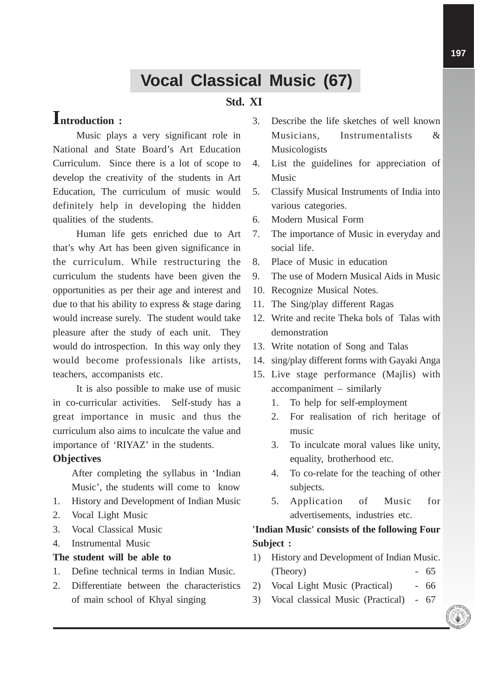# **Vocal Classical Music (67)**

## **Std. XI**

## **Introduction :**

Music plays a very significant role in National and State Board's Art Education Curriculum. Since there is a lot of scope to develop the creativity of the students in Art Education, The curriculum of music would definitely help in developing the hidden qualities of the students.

Human life gets enriched due to Art that's why Art has been given significance in the curriculum. While restructuring the curriculum the students have been given the opportunities as per their age and interest and due to that his ability to express & stage daring would increase surely. The student would take pleasure after the study of each unit. They would do introspection. In this way only they would become professionals like artists, teachers, accompanists etc.

It is also possible to make use of music in co-curricular activities. Self-study has a great importance in music and thus the curriculum also aims to inculcate the value and importance of 'RIYAZ' in the students.

#### **Objectives**

After completing the syllabus in 'Indian Music', the students will come to know

- 1. History and Development of Indian Music
- 2. Vocal Light Music
- 3. Vocal Classical Music
- 4. Instrumental Music

#### **The student will be able to**

- 1. Define technical terms in Indian Music.
- 2. Differentiate between the characteristics of main school of Khyal singing
- 3. Describe the life sketches of well known Musicians, Instrumentalists & Musicologists
- 4. List the guidelines for appreciation of Music
- 5. Classify Musical Instruments of India into various categories.
- 6. Modern Musical Form
- 7. The importance of Music in everyday and social life.
- 8. Place of Music in education
- 9. The use of Modern Musical Aids in Music
- 10. Recognize Musical Notes.
- 11. The Sing/play different Ragas
- 12. Write and recite Theka bols of Talas with demonstration
- 13. Write notation of Song and Talas
- 14. sing/play different forms with Gayaki Anga
- 15. Live stage performance (Majlis) with accompaniment – similarly
	- 1. To help for self-employment
	- 2. For realisation of rich heritage of music
	- 3. To inculcate moral values like unity, equality, brotherhood etc.
	- 4. To co-relate for the teaching of other subjects.
	- 5. Application of Music for advertisements, industries etc.

## **'Indian Music' consists of the following Four Subject :**

- 1) History and Development of Indian Music.  $(Theory)$  - 65
- 2) Vocal Light Music (Practical) 66
- 3) Vocal classical Music (Practical) 67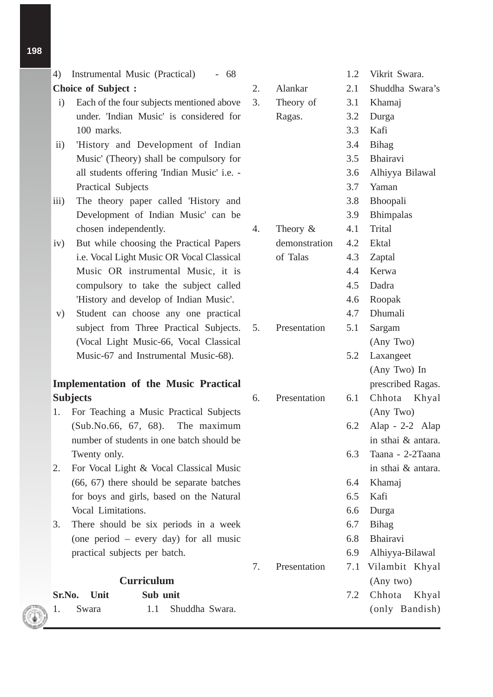- 4) Instrumental Music (Practical) 68 **Choice of Subject :**
- i) Each of the four subjects mentioned above under. 'Indian Music' is considered for 100 marks.
- ii) 'History and Development of Indian Music' (Theory) shall be compulsory for all students offering 'Indian Music' i.e. - Practical Subjects
- iii) The theory paper called 'History and Development of Indian Music' can be chosen independently.
- iv) But while choosing the Practical Papers i.e. Vocal Light Music OR Vocal Classical Music OR instrumental Music, it is compulsory to take the subject called 'History and develop of Indian Music'.
- v) Student can choose any one practical subject from Three Practical Subjects. (Vocal Light Music-66, Vocal Classical Music-67 and Instrumental Music-68).

### **Implementation of the Music Practical Subjects**

- 1. For Teaching a Music Practical Subjects (Sub.No.66, 67, 68). The maximum number of students in one batch should be Twenty only.
- 2. For Vocal Light & Vocal Classical Music (66, 67) there should be separate batches for boys and girls, based on the Natural Vocal Limitations.
- 3. There should be six periods in a week (one period – every day) for all music practical subjects per batch.

## **Curriculum**

| <b>Sr.No.</b> Unit |  | Sub unit           |  |
|--------------------|--|--------------------|--|
| 1. Swara           |  | 1.1 Shuddha Swara. |  |

|    |               | 1.2 | Vikrit Swara.      |  |  |
|----|---------------|-----|--------------------|--|--|
| 2. | Alankar       | 2.1 | Shuddha Swara's    |  |  |
| 3. | Theory of     | 3.1 | Khamaj             |  |  |
|    | Ragas.        | 3.2 | Durga              |  |  |
|    |               | 3.3 | Kafi               |  |  |
|    |               | 3.4 | Bihag              |  |  |
|    |               | 3.5 | Bhairavi           |  |  |
|    |               | 3.6 | Alhiyya Bilawal    |  |  |
|    |               | 3.7 | Yaman              |  |  |
|    |               | 3.8 | Bhoopali           |  |  |
|    |               | 3.9 | <b>Bhimpalas</b>   |  |  |
| 4. | Theory $\&$   | 4.1 | Trital             |  |  |
|    | demonstration | 4.2 | Ektal              |  |  |
|    | of Talas      | 4.3 | Zaptal             |  |  |
|    |               | 4.4 | Kerwa              |  |  |
|    |               | 4.5 | Dadra              |  |  |
|    |               | 4.6 | Roopak             |  |  |
|    |               | 4.7 | Dhumali            |  |  |
| 5. | Presentation  | 5.1 | Sargam             |  |  |
|    |               |     | (Any Two)          |  |  |
|    |               | 5.2 | Laxangeet          |  |  |
|    |               |     | (Any Two) In       |  |  |
|    |               |     | prescribed Ragas.  |  |  |
| 6. | Presentation  | 6.1 | Chhota Khyal       |  |  |
|    |               |     | (Any Two)          |  |  |
|    |               | 6.2 | Alap - $2-2$ Alap  |  |  |
|    |               |     | in sthai & antara. |  |  |
|    |               | 6.3 | Taana - 2-2Taana   |  |  |
|    |               |     | in sthai & antara. |  |  |
|    |               | 6.4 | Khamaj             |  |  |
|    |               | 6.5 | Kafi               |  |  |
|    |               | 6.6 | Durga              |  |  |
|    |               | 6.7 | <b>Bihag</b>       |  |  |
|    |               | 6.8 | Bhairavi           |  |  |
|    |               | 6.9 | Alhiyya-Bilawal    |  |  |
| 7. | Presentation  | 7.1 | Vilambit Khyal     |  |  |
|    |               |     | (Any two)          |  |  |
|    |               | 7.2 | Chhota Khyal       |  |  |
|    |               |     | (only Bandish)     |  |  |
|    |               |     |                    |  |  |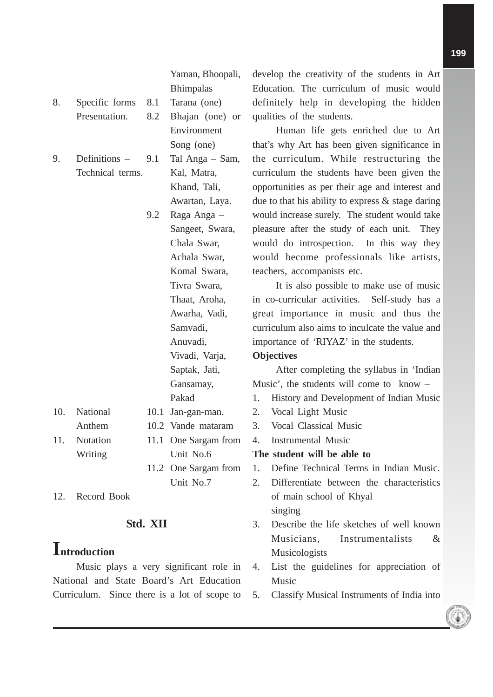Yaman, Bhoopali, Bhimpalas

- 8. Specific forms 8.1 Tarana (one) Presentation. 8.2 Bhajan (one) or
- 9. Definitions Technical terms.

|                  |     | Environment        |
|------------------|-----|--------------------|
|                  |     | Song (one)         |
| Definitions $-$  | 9.1 | Tal Anga – Sam     |
| Technical terms. |     | Kal, Matra,        |
|                  |     | Khand, Tali,       |
|                  |     | Awartan, Laya.     |
|                  | 9.2 | Raga Anga –        |
|                  |     | Sangeet, Swara,    |
|                  |     | Chala Swar,        |
|                  |     | Achala Swar,       |
|                  |     | Komal Swara,       |
|                  |     | Tivra Swara,       |
|                  |     | Thaat, Aroha,      |
|                  |     | Awarha, Vadi,      |
|                  |     | Samvadi,           |
|                  |     | Anuvadi,           |
|                  |     | Vivadi, Varja,     |
|                  |     | Saptak, Jati,      |
|                  |     | Gansamay,          |
|                  |     | Pakad              |
| National         |     | 10.1 Jan-gan-man.  |
| Anthem           |     | 10.2 Vande mataram |

10. National

11. Notation 11.1 One Sargam from Writing Unit No.6 11.2 One Sargam from Unit No.7

12. Record Book

#### **Std. XII**

## **Introduction**

Music plays a very significant role in National and State Board's Art Education Curriculum. Since there is a lot of scope to

develop the creativity of the students in Art Education. The curriculum of music would definitely help in developing the hidden qualities of the students.

Human life gets enriched due to Art that's why Art has been given significance in the curriculum. While restructuring the curriculum the students have been given the opportunities as per their age and interest and due to that his ability to express & stage daring would increase surely. The student would take pleasure after the study of each unit. They would do introspection. In this way they would become professionals like artists, teachers, accompanists etc.

It is also possible to make use of music in co-curricular activities. Self-study has a great importance in music and thus the curriculum also aims to inculcate the value and importance of 'RIYAZ' in the students.

#### **Objectives**

After completing the syllabus in 'Indian Music', the students will come to know –

- 1. History and Development of Indian Music
- 2. Vocal Light Music
- 3. Vocal Classical Music
- 4. Instrumental Music

#### **The student will be able to**

- 1. Define Technical Terms in Indian Music.
- 2. Differentiate between the characteristics of main school of Khyal singing
- 3. Describe the life sketches of well known Musicians, Instrumentalists & Musicologists
- 4. List the guidelines for appreciation of Music
- 5. Classify Musical Instruments of India into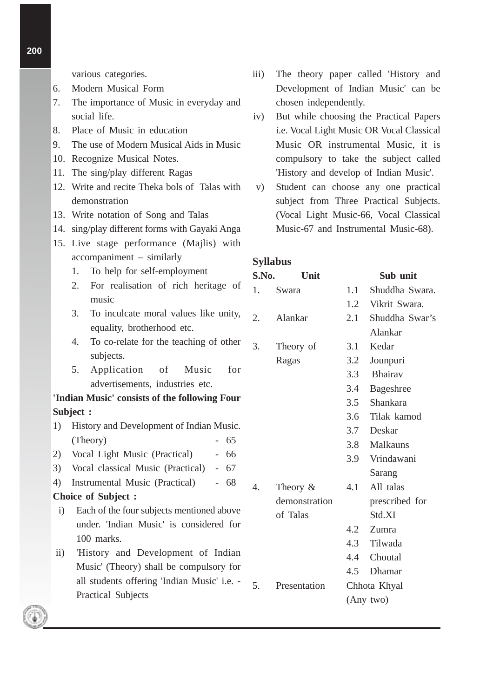various categories.

- 6. Modern Musical Form
- 7. The importance of Music in everyday and social life.
- 8. Place of Music in education
- 9. The use of Modern Musical Aids in Music
- 10. Recognize Musical Notes.
- 11. The sing/play different Ragas
- 12. Write and recite Theka bols of Talas with demonstration
- 13. Write notation of Song and Talas
- 14. sing/play different forms with Gayaki Anga
- 15. Live stage performance (Majlis) with accompaniment – similarly
	- 1. To help for self-employment
	- 2. For realisation of rich heritage of music
	- 3. To inculcate moral values like unity, equality, brotherhood etc.
	- 4. To co-relate for the teaching of other subjects.
	- 5. Application of Music for advertisements, industries etc.

#### **'Indian Music' consists of the following Four Subject :**

- 1) History and Development of Indian Music.  $(Theory)$  - 65
- 2) Vocal Light Music (Practical) 66
- 3) Vocal classical Music (Practical) 67
- 4) Instrumental Music (Practical) 68

#### **Choice of Subject :**

- i) Each of the four subjects mentioned above under. 'Indian Music' is considered for 100 marks.
- ii) 'History and Development of Indian Music' (Theory) shall be compulsory for all students offering 'Indian Music' i.e. - Practical Subjects
- iii) The theory paper called 'History and Development of Indian Music' can be chosen independently.
- iv) But while choosing the Practical Papers i.e. Vocal Light Music OR Vocal Classical Music OR instrumental Music, it is compulsory to take the subject called 'History and develop of Indian Music'.
- v) Student can choose any one practical subject from Three Practical Subjects. (Vocal Light Music-66, Vocal Classical Music-67 and Instrumental Music-68).

#### **Syllabus**

| S.No. | Unit          |     | Sub unit         |
|-------|---------------|-----|------------------|
| 1.    | Swara         | 1.1 | Shuddha Swara.   |
|       |               | 1.2 | Vikrit Swara.    |
| 2.    | Alankar       | 2.1 | Shuddha Swar's   |
|       |               |     | Alankar          |
| 3.    | Theory of     | 3.1 | Kedar            |
|       | Ragas         | 3.2 | Jounpuri         |
|       |               | 3.3 | <b>Bhairav</b>   |
|       |               | 3.4 | <b>Bageshree</b> |
|       |               | 3.5 | Shankara         |
|       |               | 3.6 | Tilak kamod      |
|       |               | 3.7 | Deskar           |
|       |               | 3.8 | <b>Malkauns</b>  |
|       |               | 3.9 | Vrindawani       |
|       |               |     | Sarang           |
| 4.    | Theory $&$    | 4.1 | All talas        |
|       | demonstration |     | prescribed for   |
|       | of Talas      |     | Std.XI           |
|       |               |     | 4.2 Zumra        |
|       |               |     | 4.3 Tilwada      |
|       |               |     | 4.4 Choutal      |
|       |               | 4.5 | Dhamar           |
| 5.    | Presentation  |     | Chhota Khyal     |
|       |               |     | (Any two)        |
|       |               |     |                  |

**200**